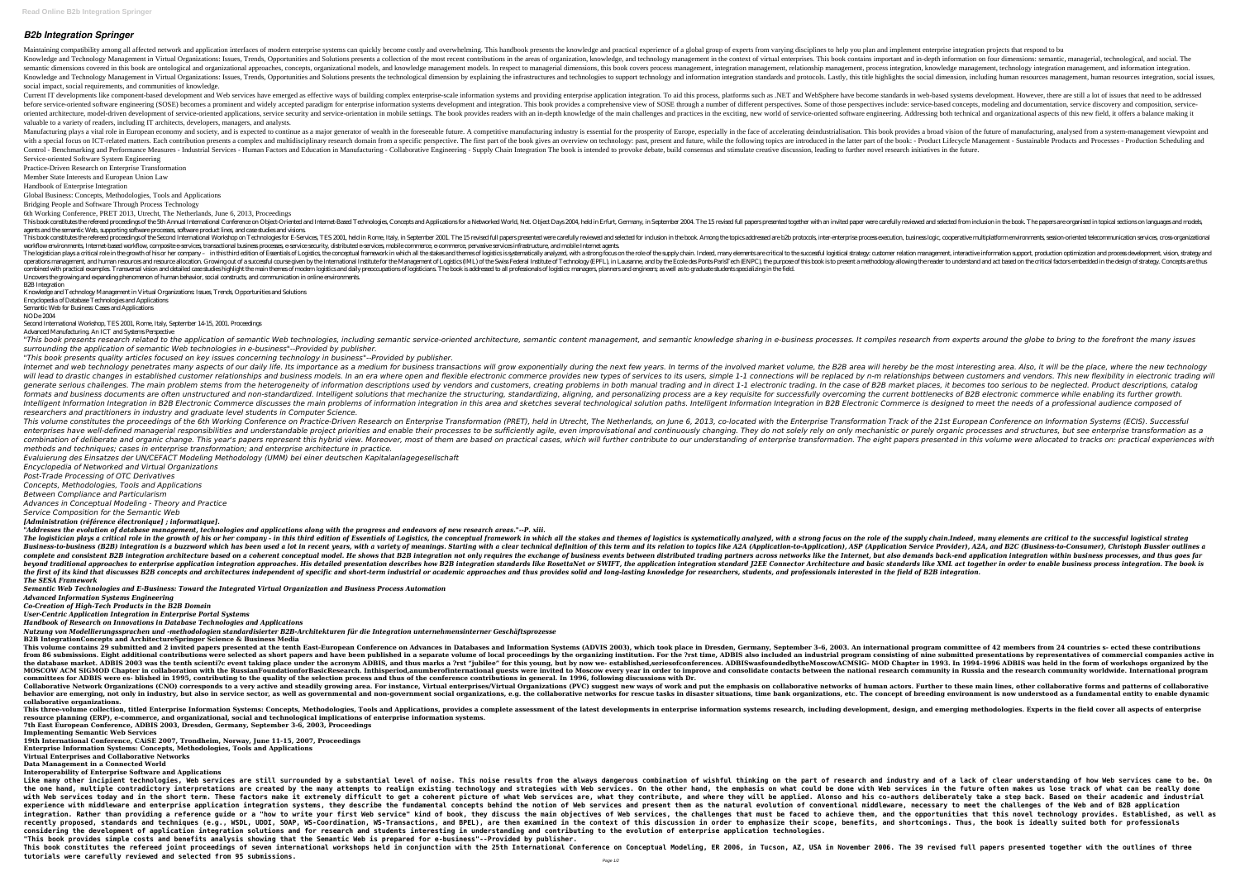## *B2b Integration Springer*

Current IT developments like component-based development and Web services have emerged as effective ways of building complex enterprise-scale information integration. To aid this process, platforms such as .NET and WebSphe before service-oriented software engineering (SOSE) becomes a prominent and widely accepted paradigm for enterprise information systems development and integration. This book provides a comprehensive view of SOSE through a oriented architecture, model-driven development of service-oriented applications, service security and service-orientation in mobile settings. The book provides readers with an in-depth knowledge of the main challenges and valuable to a variety of readers, including IT architects, developers, managers, and analysts.

social impact, social requirements, and communities of knowledge.

Manufacturing plays a vital role in European economy and society, and is expected to continue as a major generator of wealth in the foreseeable future. A competitive manufacturing industry is essential for the prosperity o with a special focus on ICT-related matters. Each contribution presents a complex and multidisciplinary research domain from a specific perspective. The first part of the book gives an overview on technology: past, present Control - Benchmarking and Performance Measures - Industrial Services - Human Factors and Education in Manufacturing - Collaborative Engineering - Supply Chain Integration The book is intended to provoke debate, build cons Service-oriented Software System Engineering

This book constitutes the refereed proceedings of the 5th Annual International Conference on Object-Oriented and Internet-Based Technologies, Concepts and Applications for a Networked World, Net. Object Days 2004, held in agents and the semantic Web, supporting software processes, software product lines, and case studies and visions.

This book constitutes the refereed proceedings of the Second International Workshop on Technologies for E-Services, TES 2001, held in Rome, Italy, in September 2001. The 15 revised full papers presented were carefully revi workflowerwironments, Internet-based workflow, composite e-services, transactional business processes, e-service security, distributed e-services, mobile commerce, e-commerce, pervasive services infrastructure, and mobile The logistician plays a critical role in the growth of his or her company – in this third edition of Essentials of Logistics, the conceptual framework in which all the stakes and thems of logistics is systematically analyz operations management, and human resources and resource allocation. Growing out of a successful course given by the International Institute for the Management of Logistics (IML) of the Swiss Federal Institute of Technology combined with practical examples. Transversal vision and detailed case studies highlight the main themes of modern logistics and daily preoccupations of logisticians. The book is addressed to all profesionals of logistics Uncovers the growing and expanding phenomenon of human behavior, social constructs, and communication in online environments. B2B Integration

"This book presents research related to the application of semantic Web technologies, including semantic service-oriented architecture, semantic content management, and semantic knowledge sharing in e-business processes. I *surrounding the application of semantic Web technologies in e-business"--Provided by publisher.*

Practice-Driven Research on Enterprise Transformation

Member State Interests and European Union Law

Handbook of Enterprise Integration

Global Business: Concepts, Methodologies, Tools and Applications

Bridging People and Software Through Process Technology

6th Working Conference, PRET 2013, Utrecht, The Netherlands, June 6, 2013, Proceedings

Internet and web technology penetrates many aspects of our daily life. Its importance as a medium for business transactions will grow exponentially during the next few years. In terms of the involved market volume, the B2B will lead to drastic changes in established customer relationships and business models. In an era where open and flexible electronic commerce provides new types of services to its users, simple 1-1 connectionships between generate serious challenges. The main problem stems from the heterogeneity of information descriptions used by vendors and customers, creating problems in both manual trading. In the case of B2B market places, it becomes t formats and business documents are often unstructured and non-standardized. Intelligent solutions that mechanize the structuring, aligning, aligning, aligning, and personalizing process are a key requisite for successfully Intelligent Information Integration in B2B Electronic Commerce discusses the main problems of information integration in this area and sketches several technological solution paths. Intelligent Information in B2B Electroni *researchers and practitioners in industry and graduate level students in Computer Science.*

This volume constitutes the proceedings of the 6th Working Conference on Practice-Driven Research on Enterprise Transformation (PRET), held in Utrecht, The Netherlands, on June 6, 2013, co-located with the Enterprise Trans enterprises have well-defined managerial responsibilities and understandable project priorities and enable their processes to be sufficiently agile, even improvisational and continuously changing. They do not solely rely o combination of deliberate and organic change. This year's papers represent this hybrid view. Moreover, most of them are based on practical cases, which will further contribute to our understanding of enterprise transformat *methods and techniques; cases in enterprise transformation; and enterprise architecture in practice.*

Knowledge and Technology Management in Virtual Organizations: Issues, Trends, Opportunities and Solutions

Encyclopedia of Database Technologies and Applications

Semantic Web for Business: Cases and Applications

NODe 2004 Second International Workshop, TES 2001, Rome, Italy, September 14-15, 2001. Proceedings

Advanced Manufacturing. An ICT and Systems Perspective

This volume contains 29 submitted and 2 invited papers presented at the tenth East-European Conference on Advances in Databases and Informational program committee of 42 members from 24 countries s- ected these contributio from 86 submissions. Eight additional contributions were selected as short papers and have been published in a separate volume of local proceedings by the organizing institution. For the ?rst time, ADBIS also included an i the database market. ADBIS 2003 was the tenth scienti?c event taking place under the acronym ADBIS, and thus marks a ?rst "jubilee" for this young, but by now we- established,seriesofconferences. ADBISwasfoundedbytheMoscow MOSCOW ACM SIGMOD Chapter in collaboration with the RussianFoundationforBasicResearch. Inthisperiod,anumberofinternational guests were invited to Moscow every year in order to improve and consolidate contacts between the n **committees for ADBIS were es- blished in 1995, contributing to the quality of the selection process and thus of the conference contributions in general. In 1996, following discussions with Dr.** Collaborative Network Organizations (CNO) corresponds to a very active and steadily growing area. For instance, Virtual enterprises/Virtual Organizations (PVC) suggest new ways of work and put the emphasis on collaborative behavior are emerging, not only in industry, but also in service sector, as well as governmental and non-government social organizations, e.g. the collaborative networks for rescue tasks in disaster situations, e.g. the co **collaborative organizations.**

*"This book presents quality articles focused on key issues concerning technology in business"--Provided by publisher.*

This three-volume collection, titled Enterprise Information Systems: Concepts, Methodologies, Tools and Applications, provides a complete assessment of the latest development, design, and emerging methodologies. Experts in **resource planning (ERP), e-commerce, and organizational, social and technological implications of enterprise information systems. 7th East European Conference, ADBIS 2003, Dresden, Germany, September 3-6, 2003, Proceedings Implementing Semantic Web Services**

Like many other incipient technologies, Web services are still surrounded by a substantial level of noise. This noise results from the always dangerous combination of wishful thinking on the part of research and industry a the one hand, multiple contradictory interpretations are created by the many attempts to realign existing technology and strategies with Web services. On the other hand, the emphasis on what could be done with Web services with Web services today and in the short term. These factors make it extremely difficult to get a coherent picture of what they contribute, and where they will be applied. Alonso and his co-authors deliberately take a step experience with middleware and enterprise application integration systems, they describe the fundamental concepts behind the notion of web services and present them as the natural evolution of conventional middleware, nece integration. Rather than providing a reference guide or a "how to write your first Web service" kind of book, they discuss the main objectives of Web services, the challenges that must be faced to achieve them, and the opp recently proposed, standards and techniques (e.g., WSDL, UDDI, SOAP, WS-Coordination, WS-Transactions, and BPEL), are then examined in the context of this discussion in order to emphasize their scope, benefits, and shortco **considering the development of application integration solutions and for research and students interesting in understanding and contributing to the evolution of enterprise application technologies. "This book provides simple costs and benefits analysis showing that the Semantic Web is prepared for e-business"--Provided by publisher.** This book constitutes the refereed joint proceedings of seven international workshops held in conjunction with the 25th International Conference on Conceptual Modeling, ER 2006, in Tucson, AZ, USA in November 2006. The 39 **tutorials were carefully reviewed and selected from 95 submissions.**

*Evaluierung des Einsatzes der UN/CEFACT Modeling Methodology (UMM) bei einer deutschen Kapitalanlagegesellschaft Encyclopedia of Networked and Virtual Organizations*

*Post-Trade Processing of OTC Derivatives*

*Concepts, Methodologies, Tools and Applications*

*Between Compliance and Particularism*

*Advances in Conceptual Modeling - Theory and Practice*

*Service Composition for the Semantic Web*

*[Administration (référence électronique] ; informatique].*

*"Addresses the evolution of database management, technologies and applications along with the progress and endeavors of new research areas."--P. xiii.* The logistician plays a critical role in the growth of his or her company - in this third edition of Essentials of Logistics, the conceptual framework in which all the stakes and themes of logistics, the conceptual framewo Business-to-business (B2B) integration is a buzzword which has been used a lot in recent vears, with a variety of meanings. Starting with a clear technical definition of this term and its relation), ASP (Application Servic complete and consistent B2B integration architecture based on a coherent conceptual model. He shows that B2B integration not only requires the exchange of business events between distributed trading partners across network beyond traditional approaches to enterprise application integration approaches. His detailed presentation describes how B2B integration standards like RosettaNet or SWIFT, the application integration standards like Rosetta the first of its kind that discusses B2B concepts and architectures independent of specific and short-term industrial or academic approaches and thus provides solid and lona-lastina knowledae for researchers, students, and *The SESA Framework*

*Semantic Web Technologies and E-Business: Toward the Integrated Virtual Organization and Business Process Automation Advanced Information Systems Engineering*

*Co-Creation of High-Tech Products in the B2B Domain*

*User-Centric Application Integration in Enterprise Portal Systems*

*Handbook of Research on Innovations in Database Technologies and Applications*

*Nutzung von Modellierungssprachen und -methodologien standardisierter B2B-Architekturen für die Integration unternehmensinterner Geschäftsprozesse* **B2B IntegrationConcepts and ArchitectureSpringer Science & Business Media**

**19th International Conference, CAiSE 2007, Trondheim, Norway, June 11-15, 2007, Proceedings**

**Enterprise Information Systems: Concepts, Methodologies, Tools and Applications**

**Virtual Enterprises and Collaborative Networks Data Management in a Connected World**

**Interoperability of Enterprise Software and Applications**